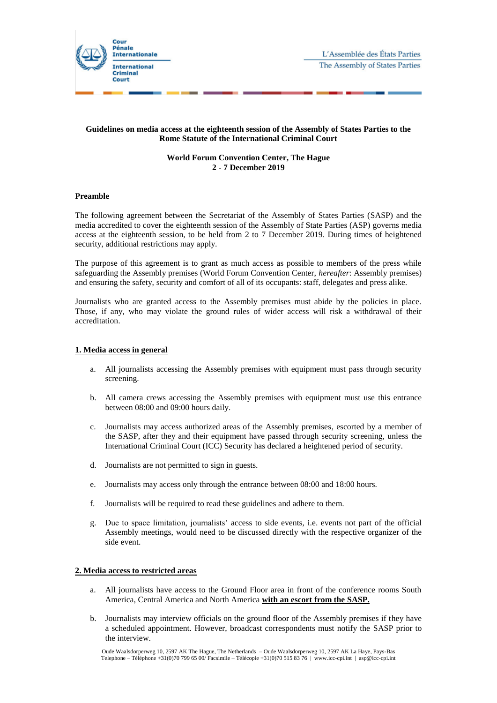

## **Guidelines on media access at the eighteenth session of the Assembly of States Parties to the Rome Statute of the International Criminal Court**

# **World Forum Convention Center, The Hague 2 - 7 December 2019**

### **Preamble**

The following agreement between the Secretariat of the Assembly of States Parties (SASP) and the media accredited to cover the eighteenth session of the Assembly of State Parties (ASP) governs media access at the eighteenth session, to be held from 2 to 7 December 2019. During times of heightened security, additional restrictions may apply.

The purpose of this agreement is to grant as much access as possible to members of the press while safeguarding the Assembly premises (World Forum Convention Center, *hereafter*: Assembly premises) and ensuring the safety, security and comfort of all of its occupants: staff, delegates and press alike.

Journalists who are granted access to the Assembly premises must abide by the policies in place. Those, if any, who may violate the ground rules of wider access will risk a withdrawal of their accreditation.

## **1. Media access in general**

- a. All journalists accessing the Assembly premises with equipment must pass through security screening.
- b. All camera crews accessing the Assembly premises with equipment must use this entrance between 08:00 and 09:00 hours daily.
- c. Journalists may access authorized areas of the Assembly premises, escorted by a member of the SASP, after they and their equipment have passed through security screening, unless the International Criminal Court (ICC) Security has declared a heightened period of security.
- d. Journalists are not permitted to sign in guests.
- e. Journalists may access only through the entrance between 08:00 and 18:00 hours.
- f. Journalists will be required to read these guidelines and adhere to them.
- g. Due to space limitation, journalists' access to side events, i.e. events not part of the official Assembly meetings, would need to be discussed directly with the respective organizer of the side event.

#### **2. Media access to restricted areas**

- a. All journalists have access to the Ground Floor area in front of the conference rooms South America, Central America and North America **with an escort from the SASP.**
- b. Journalists may interview officials on the ground floor of the Assembly premises if they have a scheduled appointment. However, broadcast correspondents must notify the SASP prior to the interview.

Oude Waalsdorperweg 10, 2597 AK The Hague, The Netherlands – Oude Waalsdorperweg 10, 2597 AK La Haye, Pays-Bas Telephone – Téléphone +31(0)70 799 65 00/ Facsimile – Télécopie +31(0)70 515 83 76 | www.icc-cpi.int | asp@icc-cpi.int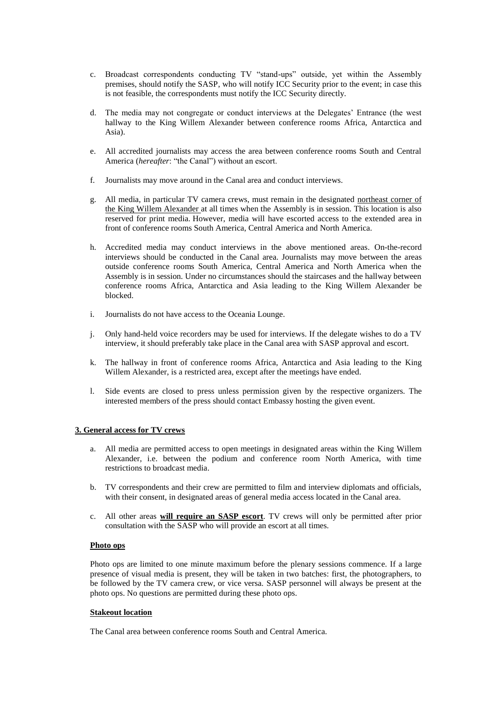- c. Broadcast correspondents conducting TV "stand-ups" outside, yet within the Assembly premises, should notify the SASP, who will notify ICC Security prior to the event; in case this is not feasible, the correspondents must notify the ICC Security directly.
- d. The media may not congregate or conduct interviews at the Delegates' Entrance (the west hallway to the King Willem Alexander between conference rooms Africa, Antarctica and Asia).
- e. All accredited journalists may access the area between conference rooms South and Central America (*hereafter*: "the Canal") without an escort.
- f. Journalists may move around in the Canal area and conduct interviews.
- g. All media, in particular TV camera crews, must remain in the designated northeast corner of the King Willem Alexander at all times when the Assembly is in session. This location is also reserved for print media. However, media will have escorted access to the extended area in front of conference rooms South America, Central America and North America.
- h. Accredited media may conduct interviews in the above mentioned areas. On-the-record interviews should be conducted in the Canal area. Journalists may move between the areas outside conference rooms South America, Central America and North America when the Assembly is in session. Under no circumstances should the staircases and the hallway between conference rooms Africa, Antarctica and Asia leading to the King Willem Alexander be blocked.
- i. Journalists do not have access to the Oceania Lounge.
- j. Only hand-held voice recorders may be used for interviews. If the delegate wishes to do a TV interview, it should preferably take place in the Canal area with SASP approval and escort.
- k. The hallway in front of conference rooms Africa, Antarctica and Asia leading to the King Willem Alexander, is a restricted area, except after the meetings have ended.
- l. Side events are closed to press unless permission given by the respective organizers. The interested members of the press should contact Embassy hosting the given event.

# **3. General access for TV crews**

- a. All media are permitted access to open meetings in designated areas within the King Willem Alexander, i.e. between the podium and conference room North America, with time restrictions to broadcast media.
- b. TV correspondents and their crew are permitted to film and interview diplomats and officials, with their consent, in designated areas of general media access located in the Canal area.
- c. All other areas **will require an SASP escort**. TV crews will only be permitted after prior consultation with the SASP who will provide an escort at all times.

#### **Photo ops**

Photo ops are limited to one minute maximum before the plenary sessions commence. If a large presence of visual media is present, they will be taken in two batches: first, the photographers, to be followed by the TV camera crew, or vice versa. SASP personnel will always be present at the photo ops. No questions are permitted during these photo ops.

#### **Stakeout location**

The Canal area between conference rooms South and Central America.